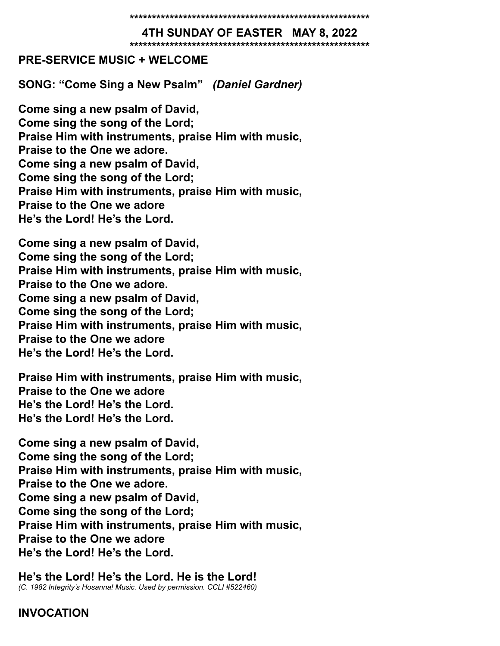#### **\*\*\*\*\*\*\*\*\*\*\*\*\*\*\*\*\*\*\*\*\*\*\*\*\*\*\*\*\*\*\*\*\*\*\*\*\*\*\*\*\*\*\*\*\*\*\*\*\*\*\*\*\*\***

## **4TH SUNDAY OF EASTER MAY 8, 2022**

#### **\*\*\*\*\*\*\*\*\*\*\*\*\*\*\*\*\*\*\*\*\*\*\*\*\*\*\*\*\*\*\*\*\*\*\*\*\*\*\*\*\*\*\*\*\*\*\*\*\*\*\*\*\*\***

#### **PRE-SERVICE MUSIC + WELCOME**

**SONG: "Come Sing a New Psalm"** *(Daniel Gardner)*

**Come sing a new psalm of David, Come sing the song of the Lord; Praise Him with instruments, praise Him with music, Praise to the One we adore. Come sing a new psalm of David, Come sing the song of the Lord; Praise Him with instruments, praise Him with music, Praise to the One we adore He's the Lord! He's the Lord.** 

**Come sing a new psalm of David, Come sing the song of the Lord; Praise Him with instruments, praise Him with music, Praise to the One we adore. Come sing a new psalm of David, Come sing the song of the Lord; Praise Him with instruments, praise Him with music, Praise to the One we adore He's the Lord! He's the Lord.** 

**Praise Him with instruments, praise Him with music, Praise to the One we adore He's the Lord! He's the Lord. He's the Lord! He's the Lord.** 

**Come sing a new psalm of David, Come sing the song of the Lord; Praise Him with instruments, praise Him with music, Praise to the One we adore. Come sing a new psalm of David, Come sing the song of the Lord; Praise Him with instruments, praise Him with music, Praise to the One we adore He's the Lord! He's the Lord.** 

**He's the Lord! He's the Lord. He is the Lord!** *(C. 1982 Integrity's Hosanna! Music. Used by permission. CCLI #522460)*

#### **INVOCATION**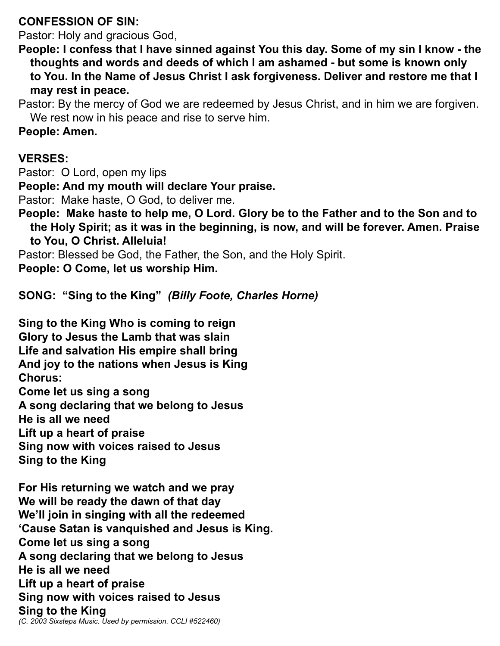### **CONFESSION OF SIN:**

Pastor: Holy and gracious God,

**People: I confess that I have sinned against You this day. Some of my sin I know - the thoughts and words and deeds of which I am ashamed - but some is known only to You. In the Name of Jesus Christ I ask forgiveness. Deliver and restore me that I may rest in peace.**

Pastor: By the mercy of God we are redeemed by Jesus Christ, and in him we are forgiven. We rest now in his peace and rise to serve him.

**People: Amen.** 

#### **VERSES:**

Pastor: O Lord, open my lips

**People: And my mouth will declare Your praise.** 

Pastor: Make haste, O God, to deliver me.

**People: Make haste to help me, O Lord. Glory be to the Father and to the Son and to the Holy Spirit; as it was in the beginning, is now, and will be forever. Amen. Praise to You, O Christ. Alleluia!**

Pastor: Blessed be God, the Father, the Son, and the Holy Spirit.

**People: O Come, let us worship Him.** 

**SONG: "Sing to the King"** *(Billy Foote, Charles Horne)*

**Sing to the King Who is coming to reign Glory to Jesus the Lamb that was slain Life and salvation His empire shall bring And joy to the nations when Jesus is King Chorus: Come let us sing a song A song declaring that we belong to Jesus He is all we need Lift up a heart of praise Sing now with voices raised to Jesus Sing to the King**

**For His returning we watch and we pray We will be ready the dawn of that day We'll join in singing with all the redeemed 'Cause Satan is vanquished and Jesus is King. Come let us sing a song A song declaring that we belong to Jesus He is all we need Lift up a heart of praise Sing now with voices raised to Jesus Sing to the King** *(C. 2003 Sixsteps Music. Used by permission. CCLI #522460)*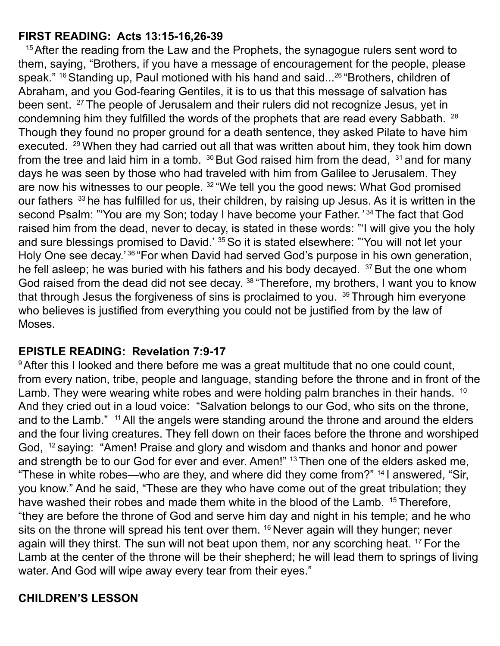#### **FIRST READING: Acts 13:15-16,26-39**

<sup>15</sup> After the reading from the Law and the Prophets, the synagogue rulers sent word to them, saying, "Brothers, if you have a message of encouragement for the people, please speak." <sup>16</sup> Standing up, Paul motioned with his hand and said...<sup>26</sup> "Brothers, children of Abraham, and you God-fearing Gentiles, it is to us that this message of salvation has been sent. 27 The people of Jerusalem and their rulers did not recognize Jesus, yet in condemning him they fulfilled the words of the prophets that are read every Sabbath. <sup>28</sup> Though they found no proper ground for a death sentence, they asked Pilate to have him executed. 29 When they had carried out all that was written about him, they took him down from the tree and laid him in a tomb.  $30$  But God raised him from the dead,  $31$  and for many days he was seen by those who had traveled with him from Galilee to Jerusalem. They are now his witnesses to our people. <sup>32</sup> "We tell you the good news: What God promised our fathers <sup>33</sup> he has fulfilled for us, their children, by raising up Jesus. As it is written in the second Psalm: "'You are my Son; today I have become your Father.'<sup>34</sup> The fact that God raised him from the dead, never to decay, is stated in these words: "'I will give you the holy and sure blessings promised to David.' 35 So it is stated elsewhere: "'You will not let your Holy One see decay.' 36 "For when David had served God's purpose in his own generation, he fell asleep; he was buried with his fathers and his body decayed. <sup>37</sup> But the one whom God raised from the dead did not see decay. <sup>38</sup> "Therefore, my brothers, I want you to know that through Jesus the forgiveness of sins is proclaimed to you.  $39$  Through him everyone who believes is justified from everything you could not be justified from by the law of Moses.

### **EPISTLE READING: Revelation 7:9-17**

<sup>9</sup> After this I looked and there before me was a great multitude that no one could count, from every nation, tribe, people and language, standing before the throne and in front of the Lamb. They were wearing white robes and were holding palm branches in their hands. <sup>10</sup> And they cried out in a loud voice: "Salvation belongs to our God, who sits on the throne, and to the Lamb." <sup>11</sup> All the angels were standing around the throne and around the elders and the four living creatures. They fell down on their faces before the throne and worshiped God, 12 saying: "Amen! Praise and glory and wisdom and thanks and honor and power and strength be to our God for ever and ever. Amen!" <sup>13</sup> Then one of the elders asked me, "These in white robes—who are they, and where did they come from?" 14 I answered, "Sir, you know." And he said, "These are they who have come out of the great tribulation; they have washed their robes and made them white in the blood of the Lamb. <sup>15</sup> Therefore, "they are before the throne of God and serve him day and night in his temple; and he who sits on the throne will spread his tent over them. <sup>16</sup> Never again will they hunger; never again will they thirst. The sun will not beat upon them, nor any scorching heat. 17 For the Lamb at the center of the throne will be their shepherd; he will lead them to springs of living water. And God will wipe away every tear from their eyes."

# **CHILDREN'S LESSON**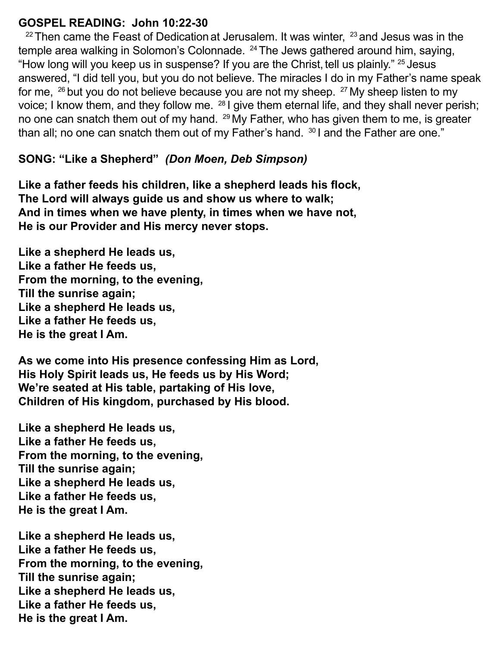#### **GOSPEL READING: John 10:22-30**

 $22$  Then came the Feast of Dedication at Jerusalem. It was winter,  $23$  and Jesus was in the temple area walking in Solomon's Colonnade. <sup>24</sup> The Jews gathered around him, saying, "How long will you keep us in suspense? If you are the Christ, tell us plainly." 25 Jesus answered, "I did tell you, but you do not believe. The miracles I do in my Father's name speak for me,  $^{26}$  but you do not believe because you are not my sheep.  $^{27}$  My sheep listen to my voice; I know them, and they follow me. 28 I give them eternal life, and they shall never perish; no one can snatch them out of my hand. <sup>29</sup> My Father, who has given them to me, is greater than all; no one can snatch them out of my Father's hand. <sup>30</sup> I and the Father are one."

#### **SONG: "Like a Shepherd"** *(Don Moen, Deb Simpson)*

**Like a father feeds his children, like a shepherd leads his flock, The Lord will always guide us and show us where to walk; And in times when we have plenty, in times when we have not, He is our Provider and His mercy never stops.**

**Like a shepherd He leads us, Like a father He feeds us, From the morning, to the evening, Till the sunrise again; Like a shepherd He leads us, Like a father He feeds us, He is the great I Am.**

**As we come into His presence confessing Him as Lord, His Holy Spirit leads us, He feeds us by His Word; We're seated at His table, partaking of His love, Children of His kingdom, purchased by His blood.** 

**Like a shepherd He leads us, Like a father He feeds us, From the morning, to the evening, Till the sunrise again; Like a shepherd He leads us, Like a father He feeds us, He is the great I Am.**

**Like a shepherd He leads us, Like a father He feeds us, From the morning, to the evening, Till the sunrise again; Like a shepherd He leads us, Like a father He feeds us, He is the great I Am.**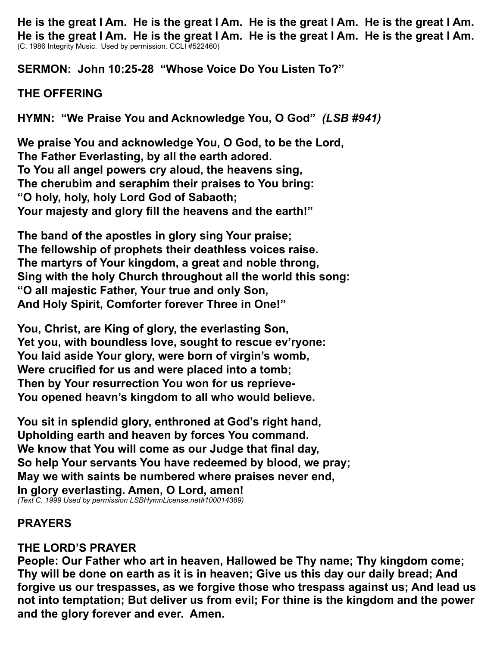**He is the great I Am. He is the great I Am. He is the great I Am. He is the great I Am. He is the great I Am. He is the great I Am. He is the great I Am. He is the great I Am.** (C. 1986 Integrity Music. Used by permission. CCLI #522460)

**SERMON: John 10:25-28 "Whose Voice Do You Listen To?"**

#### **THE OFFERING**

**HYMN: "We Praise You and Acknowledge You, O God"** *(LSB #941)*

**We praise You and acknowledge You, O God, to be the Lord, The Father Everlasting, by all the earth adored. To You all angel powers cry aloud, the heavens sing, The cherubim and seraphim their praises to You bring: "O holy, holy, holy Lord God of Sabaoth; Your majesty and glory fill the heavens and the earth!"**

**The band of the apostles in glory sing Your praise; The fellowship of prophets their deathless voices raise. The martyrs of Your kingdom, a great and noble throng, Sing with the holy Church throughout all the world this song: "O all majestic Father, Your true and only Son, And Holy Spirit, Comforter forever Three in One!"**

**You, Christ, are King of glory, the everlasting Son, Yet you, with boundless love, sought to rescue ev'ryone: You laid aside Your glory, were born of virgin's womb, Were crucified for us and were placed into a tomb; Then by Your resurrection You won for us reprieve-You opened heavn's kingdom to all who would believe.**

**You sit in splendid glory, enthroned at God's right hand, Upholding earth and heaven by forces You command. We know that You will come as our Judge that final day, So help Your servants You have redeemed by blood, we pray; May we with saints be numbered where praises never end, In glory everlasting. Amen, O Lord, amen!** *(Text C. 1999 Used by permission LSBHymnLicense.net#100014389)*

#### **PRAYERS**

#### **THE LORD'S PRAYER**

**People: Our Father who art in heaven, Hallowed be Thy name; Thy kingdom come; Thy will be done on earth as it is in heaven; Give us this day our daily bread; And forgive us our trespasses, as we forgive those who trespass against us; And lead us not into temptation; But deliver us from evil; For thine is the kingdom and the power and the glory forever and ever. Amen.**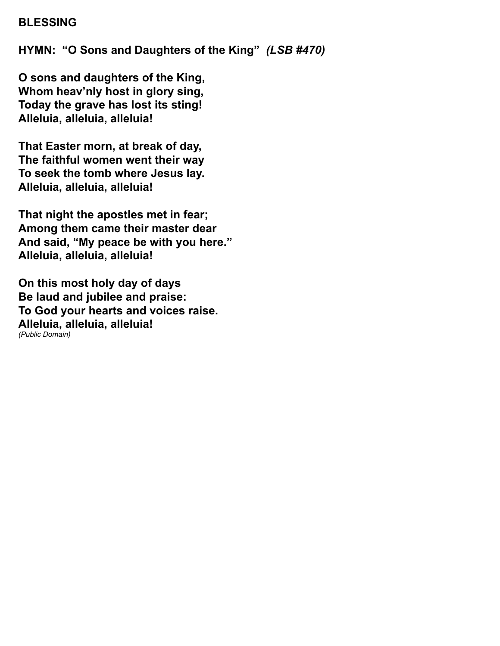#### **BLESSING**

**HYMN: "O Sons and Daughters of the King"** *(LSB #470)*

**O sons and daughters of the King, Whom heav'nly host in glory sing, Today the grave has lost its sting! Alleluia, alleluia, alleluia!**

**That Easter morn, at break of day, The faithful women went their way To seek the tomb where Jesus lay. Alleluia, alleluia, alleluia!**

**That night the apostles met in fear; Among them came their master dear And said, "My peace be with you here." Alleluia, alleluia, alleluia!**

**On this most holy day of days Be laud and jubilee and praise: To God your hearts and voices raise. Alleluia, alleluia, alleluia!** *(Public Domain)*